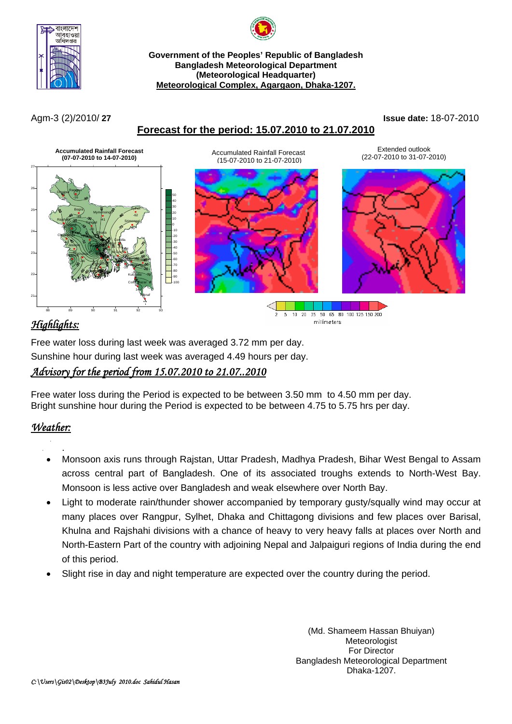



#### **Government of the Peoples' Republic of Bangladesh Bangladesh Meteorological Department (Meteorological Headquarter) Meteorological Complex, Agargaon, Dhaka-1207.**

## **Forecast for the period: 15.07.2010 to 21.07.2010**

Agm-3 (2)/2010/ **27 Issue date:** 18-07-2010



# *Highlights:*

Free water loss during last week was averaged 3.72 mm per day. Sunshine hour during last week was averaged 4.49 hours per day. *Advisory for the period from 15.07.2010 to 21.07..2010* 

Free water loss during the Period is expected to be between 3.50 mm to 4.50 mm per day. Bright sunshine hour during the Period is expected to be between 4.75 to 5.75 hrs per day.

#### *Weather:* .

 . Monsoon axis runs through Rajstan, Uttar Pradesh, Madhya Pradesh, Bihar West Bengal to Assam across central part of Bangladesh. One of its associated troughs extends to North-West Bay. Monsoon is less active over Bangladesh and weak elsewhere over North Bay.

millimeters

- Light to moderate rain/thunder shower accompanied by temporary gusty/squally wind may occur at many places over Rangpur, Sylhet, Dhaka and Chittagong divisions and few places over Barisal, Khulna and Rajshahi divisions with a chance of heavy to very heavy falls at places over North and North-Eastern Part of the country with adjoining Nepal and Jalpaiguri regions of India during the end of this period.
- Slight rise in day and night temperature are expected over the country during the period.

(Md. Shameem Hassan Bhuiyan) Meteorologist For Director Bangladesh Meteorological Department Dhaka-1207.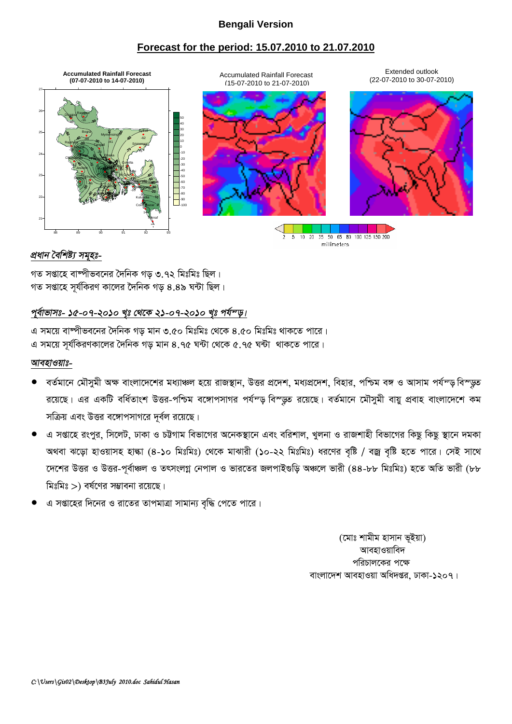#### **Bengali Version**

## **Forecast for the period: 15.07.2010 to 21.07.2010**



#### *প্ৰধান বৈশিষ্ট্য সমৃহঃ-*

গত সপ্তাহে বাষ্পীভবনের দৈনিক গড় ৩.৭২ মিঃমিঃ ছিল। গত সপ্তাহে সূর্যকিরণ কালের দৈনিক গড় ৪.৪৯ ঘন্টা ছিল।

### <u>পূর্বাভাসঃ- ১৫-০৭-২০১০ খৃঃ থেকে ২</u>১-০৭-২০১০ খৃঃ পর্যন্ড়।

এ সময়ে বাম্পীভবনের দৈনিক গড় মান ৩.৫০ মিঃমিঃ থেকে ৪.৫০ মিঃমিঃ থাকতে পারে। এ সময়ে সর্যকিরণকালের দৈনিক গড মান ৪.৭৫ ঘন্টা থেকে ৫.৭৫ ঘন্টা থাকতে পারে।

#### *আবহাওয়াঃ-*

- ৰৰ্তমানে মৌসুমী অক্ষ বাংলাদেশের মধ্যাঞ্চল হয়ে রাজস্থান, উত্তর প্রদেশ, মধ্যপ্রদেশ, বিহার, পশ্চিম বঙ্গ ও আসাম পর্যন্ড বিস্ডুত রয়েছে। এর একটি বর্ধিতাংশ উত্তর-পশ্চিম বঙ্গোপসাগর পর্যন্ড বিস্ডুত রয়েছে। বর্তমানে মৌসুমী বায়ু প্রবাহ বাংলাদেশে কম সক্রিয় এবং উত্তর বঙ্গোপসাগরে দর্বল রয়েছে।
- এ সপ্তাহে রংপুর, সিলেট, ঢাকা ও চট্টগাম বিভাগের অনেকস্থানে এবং বরিশাল, খুলনা ও রাজশাহী বিভাগের কিছু কিছু স্থানে দমকা অথবা ঝড়ো হাওয়াসহ হাল্কা (৪-১০ মিঃমিঃ) থেকে মাঝারী (১০-২২ মিঃমিঃ) ধরণের বৃষ্টি / বজ্র বৃষ্টি হতে পারে। সেই সাথে দেশের উত্তর ও উত্তর-পূর্বাঞ্চল ও তৎসংলগ্ন নেপাল ও ভারতের জলপাইগুড়ি অঞ্চলে ভারী (৪৪-৮৮ মিঃমিঃ) হতে অতি ভারী (৮৮ মিঃমিঃ $>$ ) বর্ষণের সম্ভাবনা রয়েছে।
- এ সপ্তাহের দিনের ও রাতের তাপমাত্রা সামান্য বন্ধি পেতে পারে।

(মোঃ শামীম হাসান ভূইয়া) আবহাওয়াবিদ পরিচালকের পক্ষে বাংলাদেশ আবহাওয়া অধিদপ্তর, ঢাকা-১২০৭।